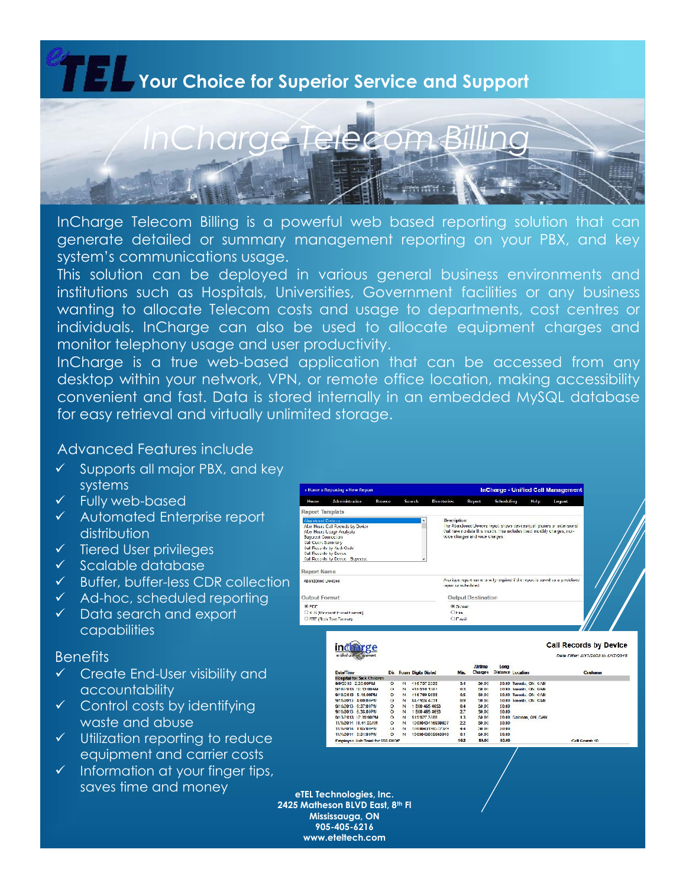## **Your Choice for Superior Service and Support**



InCharge Telecom Billing is a powerful web based reporting solution that can generate detailed or summary management reporting on your PBX, and key system's communications usage.

This solution can be deployed in various general business environments and institutions such as Hospitals, Universities, Government facilities or any business wanting to allocate Telecom costs and usage to departments, cost centres or individuals. InCharge can also be used to allocate equipment charges and monitor telephony usage and user productivity.

InCharge is a true web-based application that can be accessed from any desktop within your network, VPN, or remote office location, making accessibility convenient and fast. Data is stored internally in an embedded MySQL database for easy retrieval and virtually unlimited storage.

## Advanced Features include

- $\checkmark$  Supports all major PBX, and key systems
- $\checkmark$  Fully web-based
- Automated Enterprise report distribution
- $\checkmark$  Tiered User privileges
- $\checkmark$  Scalable database
- $\checkmark$  Buffer, buffer-less CDR collection
- $\checkmark$  Ad-hoc, scheduled reporting
- $\checkmark$  Data search and export capabilities

### **Benefits**

- $\checkmark$  Create End-User visibility and accountability
- $\checkmark$  Control costs by identifying waste and abuse
- $\checkmark$  Utilization reporting to reduce equipment and carrier costs
- $\checkmark$  Information at your finger tips, saves time and money

| » Home » Reporting » New Report                                                                  |                                                                                                                                  |        |        |                          | <b>InCharge - Unified Call Management</b> |                                                                                                                                                   |      |        |  |  |
|--------------------------------------------------------------------------------------------------|----------------------------------------------------------------------------------------------------------------------------------|--------|--------|--------------------------|-------------------------------------------|---------------------------------------------------------------------------------------------------------------------------------------------------|------|--------|--|--|
| Home.                                                                                            | Administration                                                                                                                   | Browse | Search | <b>Directories</b>       | Report                                    | Scheduling                                                                                                                                        | Help | Logout |  |  |
| Report Template                                                                                  |                                                                                                                                  |        |        |                          |                                           |                                                                                                                                                   |      |        |  |  |
| Alxa doned Devocal<br><b>Baycrest Connection</b><br>Call Count Sammary<br>Call Records by Device | After Hours Call Records by Device<br>After Hours Usage Analysis<br>Call Records by Acth Cade<br>Call Records by Device Bayerest |        | ۰      | Description:             | wice charges and voice charges.           | he Abandoned Devices report shows devices (cell phones or extensions).<br>that have no data this month. This includes lixed monthly charges, non- |      |        |  |  |
| <b>Report Name</b><br><b>Abandoned Je-Ices</b>                                                   |                                                                                                                                  |        |        |                          | report or scheduled.                      | A crique reportman elisionly required il the report is saved as a predefined.                                                                     |      |        |  |  |
| Output Format                                                                                    |                                                                                                                                  |        |        |                          | <b>Output Destination</b>                 |                                                                                                                                                   |      |        |  |  |
| $\otimes$ PDF                                                                                    | C X S (Microant Excel Format)<br>CRTT (Rich Toxt Format)                                                                         |        |        | $C-Ha$<br><b>C</b> Email | <b>C. Screen</b>                          |                                                                                                                                                   |      |        |  |  |

| <b>Date Time</b>                |            |          | Dir. Roam Digits Dialed | Min.           | <b>Artime</b><br><b>Charges</b> | Long   | Distance Localion       | <b>Customer</b> |
|---------------------------------|------------|----------|-------------------------|----------------|---------------------------------|--------|-------------------------|-----------------|
| Hospital for Sick Children      |            |          |                         |                |                                 |        |                         |                 |
| 9/9/2013 2.25.00 PM             | $\circ$    | N        | 416 737 2035            | 3 <sub>4</sub> | \$0.00                          |        | \$0.00 Toronto, ON CAN  |                 |
| 5/10/2013 10:13:00 AM           | $\alpha$   | <b>N</b> | 416 910 1987            | 0.3            | 530 110                         |        | 50.00 loconto ON 124N   |                 |
| 9/10/2013 5.16.00PM             | $\circ$    | N        | 416 789 9633            | 0.5            | \$0.00                          |        | \$0.00 Toronto, OK CAN  |                 |
| <b>MARINE 1702112</b>           | $^{\circ}$ | N        | 647 924 4531            | 0.9            | 50.00                           |        | \$0.00 loronto, ON CAN  |                 |
| 9/11/2013 6:37:00PM             | $\circ$    | N        | 1 800 465 4653          | 0.4            | 50.00                           | 50.00  |                         |                 |
| 9/11/2013 6.38.00PM             | $\circ$    | N        | 1800 485 4853           | 27             | \$0.00                          | \$0.00 |                         |                 |
| 9/13/2013 12:39:00 PM           | $\alpha$   | N        | 519 927 3285            | 13             | 50.00                           |        | \$0.00 Calcdon, ON, CAN |                 |
| 11/1/2014 11:44.00AM            | $^{\circ}$ | N        | 1000043416939937        | 22             | \$0.00                          | \$0.00 |                         |                 |
| 11/1/2014 1:05:00 PM            | $\alpha$   | N        | 1000043190572329        | 44             | <b>SO INF</b>                   | 20.00  |                         |                 |
| 11/1/2014 3:31:00 PM            | $\circ$    | N        | 1000043905903949        | 0.1            | S0.00                           | \$0.00 |                         |                 |
| Employee Sub-Total for 555 SHOP |            |          |                         | 13.2           | \$0.00                          | \$0.00 |                         | Call Count: 10  |

**eTEL Technologies, Inc. 2425 Matheson BLVD East, 8th Fl Mississauga, ON 905-405-6216 www.eteltech.com**